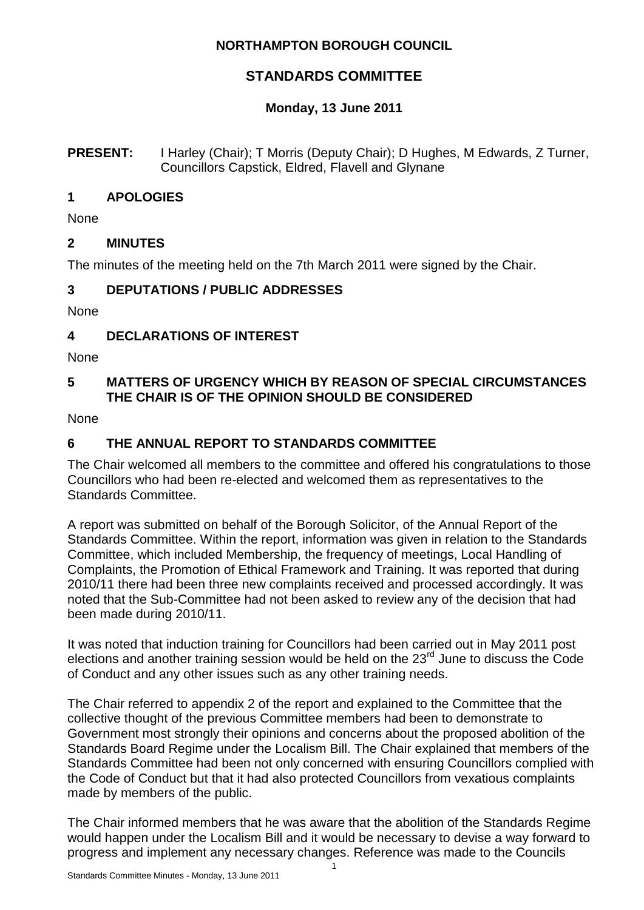### **NORTHAMPTON BOROUGH COUNCIL**

# **STANDARDS COMMITTEE**

## **Monday, 13 June 2011**

#### **PRESENT:** I Harley (Chair); T Morris (Deputy Chair); D Hughes, M Edwards, Z Turner, Councillors Capstick, Eldred, Flavell and Glynane

## **1 APOLOGIES**

None

## **2 MINUTES**

The minutes of the meeting held on the 7th March 2011 were signed by the Chair.

## **3 DEPUTATIONS / PUBLIC ADDRESSES**

None

## **4 DECLARATIONS OF INTEREST**

None

## **5 MATTERS OF URGENCY WHICH BY REASON OF SPECIAL CIRCUMSTANCES THE CHAIR IS OF THE OPINION SHOULD BE CONSIDERED**

**None** 

## **6 THE ANNUAL REPORT TO STANDARDS COMMITTEE**

The Chair welcomed all members to the committee and offered his congratulations to those Councillors who had been re-elected and welcomed them as representatives to the Standards Committee.

A report was submitted on behalf of the Borough Solicitor, of the Annual Report of the Standards Committee. Within the report, information was given in relation to the Standards Committee, which included Membership, the frequency of meetings, Local Handling of Complaints, the Promotion of Ethical Framework and Training. It was reported that during 2010/11 there had been three new complaints received and processed accordingly. It was noted that the Sub-Committee had not been asked to review any of the decision that had been made during 2010/11.

It was noted that induction training for Councillors had been carried out in May 2011 post elections and another training session would be held on the  $23<sup>rd</sup>$  June to discuss the Code of Conduct and any other issues such as any other training needs.

The Chair referred to appendix 2 of the report and explained to the Committee that the collective thought of the previous Committee members had been to demonstrate to Government most strongly their opinions and concerns about the proposed abolition of the Standards Board Regime under the Localism Bill. The Chair explained that members of the Standards Committee had been not only concerned with ensuring Councillors complied with the Code of Conduct but that it had also protected Councillors from vexatious complaints made by members of the public.

The Chair informed members that he was aware that the abolition of the Standards Regime would happen under the Localism Bill and it would be necessary to devise a way forward to progress and implement any necessary changes. Reference was made to the Councils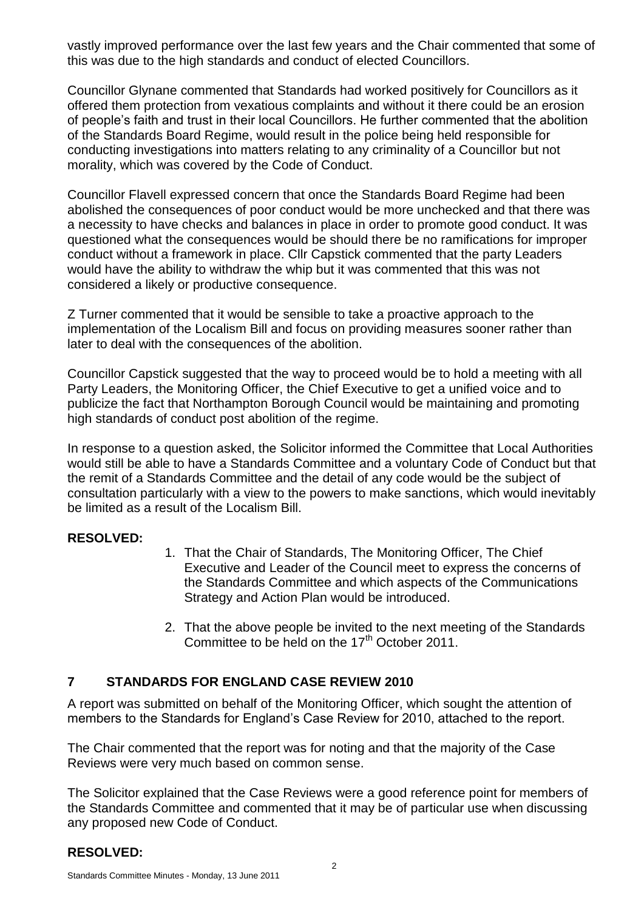vastly improved performance over the last few years and the Chair commented that some of this was due to the high standards and conduct of elected Councillors.

Councillor Glynane commented that Standards had worked positively for Councillors as it offered them protection from vexatious complaints and without it there could be an erosion of people's faith and trust in their local Councillors. He further commented that the abolition of the Standards Board Regime, would result in the police being held responsible for conducting investigations into matters relating to any criminality of a Councillor but not morality, which was covered by the Code of Conduct.

Councillor Flavell expressed concern that once the Standards Board Regime had been abolished the consequences of poor conduct would be more unchecked and that there was a necessity to have checks and balances in place in order to promote good conduct. It was questioned what the consequences would be should there be no ramifications for improper conduct without a framework in place. Cllr Capstick commented that the party Leaders would have the ability to withdraw the whip but it was commented that this was not considered a likely or productive consequence.

Z Turner commented that it would be sensible to take a proactive approach to the implementation of the Localism Bill and focus on providing measures sooner rather than later to deal with the consequences of the abolition.

Councillor Capstick suggested that the way to proceed would be to hold a meeting with all Party Leaders, the Monitoring Officer, the Chief Executive to get a unified voice and to publicize the fact that Northampton Borough Council would be maintaining and promoting high standards of conduct post abolition of the regime.

In response to a question asked, the Solicitor informed the Committee that Local Authorities would still be able to have a Standards Committee and a voluntary Code of Conduct but that the remit of a Standards Committee and the detail of any code would be the subject of consultation particularly with a view to the powers to make sanctions, which would inevitably be limited as a result of the Localism Bill.

### **RESOLVED:**

- 1. That the Chair of Standards, The Monitoring Officer, The Chief Executive and Leader of the Council meet to express the concerns of the Standards Committee and which aspects of the Communications Strategy and Action Plan would be introduced.
- 2. That the above people be invited to the next meeting of the Standards Committee to be held on the  $17<sup>th</sup>$  October 2011.

### **7 STANDARDS FOR ENGLAND CASE REVIEW 2010**

A report was submitted on behalf of the Monitoring Officer, which sought the attention of members to the Standards for England's Case Review for 2010, attached to the report.

The Chair commented that the report was for noting and that the majority of the Case Reviews were very much based on common sense.

The Solicitor explained that the Case Reviews were a good reference point for members of the Standards Committee and commented that it may be of particular use when discussing any proposed new Code of Conduct.

### **RESOLVED:**